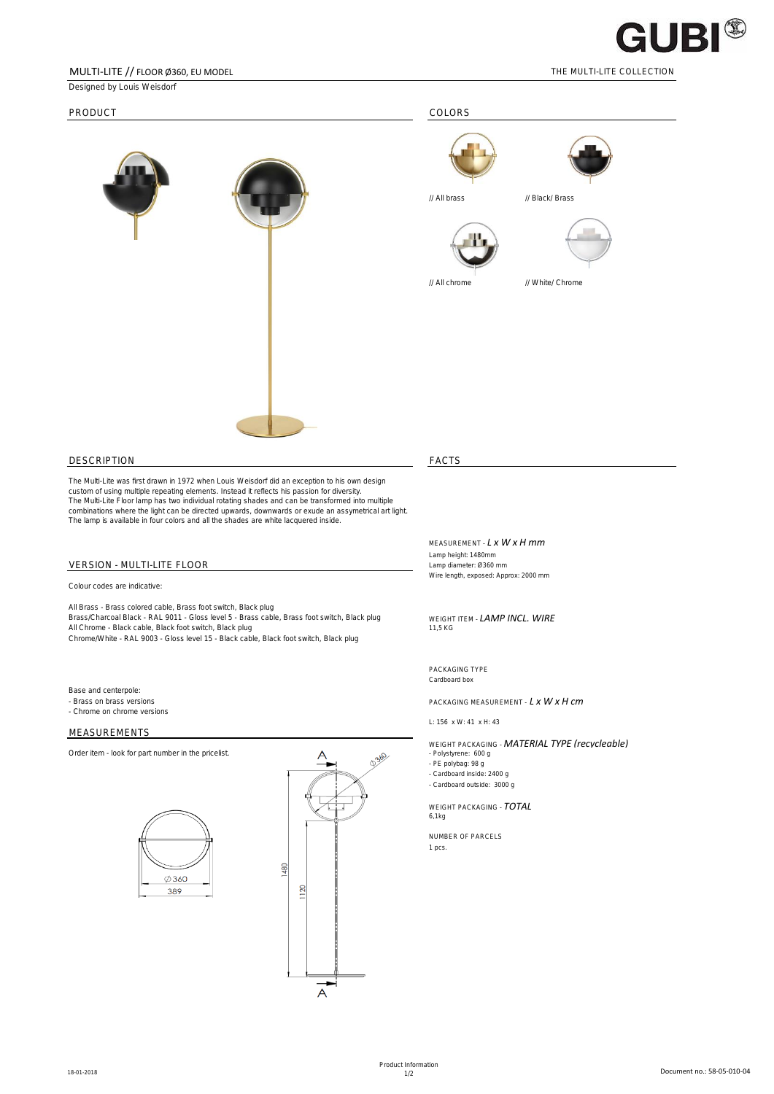

## MULTI-LITE // FLOOR Ø360, EU MODEL THE MULTI-LITE COLLECTION

Designed by Louis Weisdorf







// All chrome // White/ Chrome

DESCRIPTION FACTS

The Multi-Lite was first drawn in 1972 when Louis Weisdorf did an exception to his own design custom of using multiple repeating elements. Instead it reflects his passion for diversity. The Multi-Lite Floor lamp has two individual rotating shades and can be transformed into multiple combinations where the light can be directed upwards, downwards or exude an assymetrical art light. The lamp is available in four colors and all the shades are white lacquered inside.

# VERSION - MULTI-LITE FLOOR

Colour codes are indicative:

All Brass - Brass colored cable, Brass foot switch, Black plug Brass/Charcoal Black - RAL 9011 - Gloss level 5 - Brass cable, Brass foot switch, Black plug WEIGHT ITEM - **LAMP INCL. WIRE**<br>All Chrome - Black cable, Black foot switch, Black plug and the state of the context of the conte All Chrome - Black cable, Black foot switch, Black plug Chrome/White - RAL 9003 - Gloss level 15 - Black cable, Black foot switch, Black plug

Base and centerpole:

- Chrome on chrome versions

## MEASUREMENTS





MEASUREMENT - *L x W x H mm*

Lamp height: 1480mm Wire length, exposed: Approx: 2000 mm

PACKAGING TYPE Cardboard box

- Brass on brass versions PACKAGING MEASUREMENT - **L x W x H cm** 

L: 156 x W: 41 x H: 43

WEIGHT PACKAGING - *MATERIAL TYPE (recycleable)*

- Polystyrene: 600 g<br>- PE polybag: 98 g

- Cardboard inside: 2400 g

- Cardboard outside: 3000 g

WEIGHT PACKAGING - *TOTAL* 6,1kg

NUMBER OF PARCELS 1 pcs.